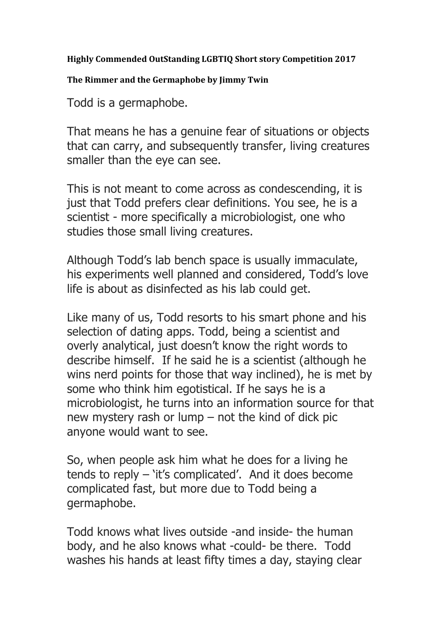## **Highly Commended OutStanding LGBTIQ Short story Competition 2017**

## The Rimmer and the Germaphobe by Jimmy Twin

Todd is a germaphobe.

That means he has a genuine fear of situations or objects that can carry, and subsequently transfer, living creatures smaller than the eye can see.

This is not meant to come across as condescending, it is just that Todd prefers clear definitions. You see, he is a scientist - more specifically a microbiologist, one who studies those small living creatures.

Although Todd's lab bench space is usually immaculate, his experiments well planned and considered, Todd's love life is about as disinfected as his lab could get.

Like many of us, Todd resorts to his smart phone and his selection of dating apps. Todd, being a scientist and overly analytical, just doesn't know the right words to describe himself. If he said he is a scientist (although he wins nerd points for those that way inclined), he is met by some who think him egotistical. If he says he is a microbiologist, he turns into an information source for that new mystery rash or lump – not the kind of dick pic anyone would want to see.

So, when people ask him what he does for a living he tends to reply – 'it's complicated'. And it does become complicated fast, but more due to Todd being a germaphobe.

Todd knows what lives outside -and inside- the human body, and he also knows what -could- be there. Todd washes his hands at least fifty times a day, staying clear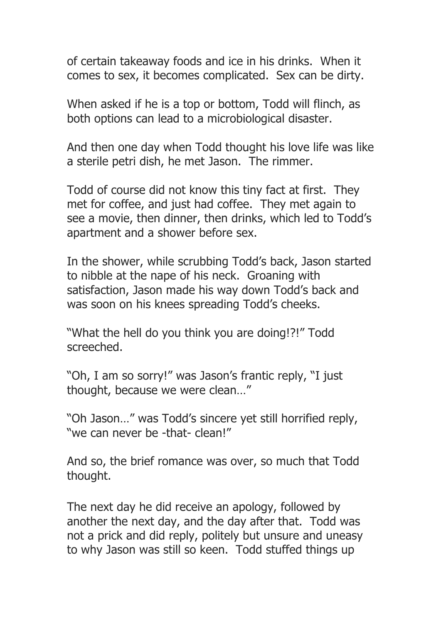of certain takeaway foods and ice in his drinks. When it comes to sex, it becomes complicated. Sex can be dirty.

When asked if he is a top or bottom, Todd will flinch, as both options can lead to a microbiological disaster.

And then one day when Todd thought his love life was like a sterile petri dish, he met Jason. The rimmer.

Todd of course did not know this tiny fact at first. They met for coffee, and just had coffee. They met again to see a movie, then dinner, then drinks, which led to Todd's apartment and a shower before sex.

In the shower, while scrubbing Todd's back, Jason started to nibble at the nape of his neck. Groaning with satisfaction, Jason made his way down Todd's back and was soon on his knees spreading Todd's cheeks.

"What the hell do you think you are doing!?!" Todd screeched.

"Oh, I am so sorry!" was Jason's frantic reply, "I just thought, because we were clean…"

"Oh Jason…" was Todd's sincere yet still horrified reply, "we can never be -that- clean!"

And so, the brief romance was over, so much that Todd thought.

The next day he did receive an apology, followed by another the next day, and the day after that. Todd was not a prick and did reply, politely but unsure and uneasy to why Jason was still so keen. Todd stuffed things up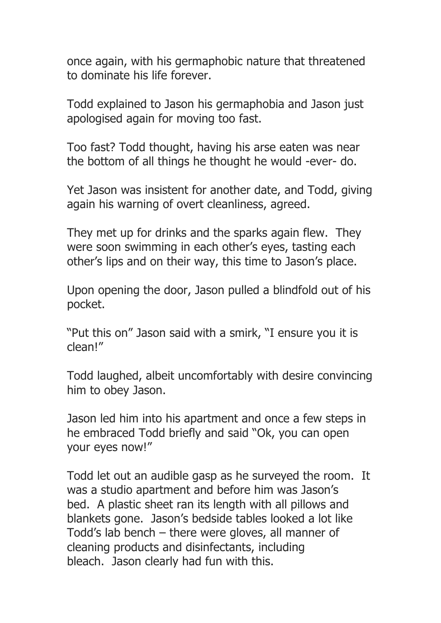once again, with his germaphobic nature that threatened to dominate his life forever.

Todd explained to Jason his germaphobia and Jason just apologised again for moving too fast.

Too fast? Todd thought, having his arse eaten was near the bottom of all things he thought he would -ever- do.

Yet Jason was insistent for another date, and Todd, giving again his warning of overt cleanliness, agreed.

They met up for drinks and the sparks again flew. They were soon swimming in each other's eyes, tasting each other's lips and on their way, this time to Jason's place.

Upon opening the door, Jason pulled a blindfold out of his pocket.

"Put this on" Jason said with a smirk, "I ensure you it is clean!"

Todd laughed, albeit uncomfortably with desire convincing him to obey Jason.

Jason led him into his apartment and once a few steps in he embraced Todd briefly and said "Ok, you can open your eyes now!"

Todd let out an audible gasp as he surveyed the room. It was a studio apartment and before him was Jason's bed. A plastic sheet ran its length with all pillows and blankets gone. Jason's bedside tables looked a lot like Todd's lab bench – there were gloves, all manner of cleaning products and disinfectants, including bleach. Jason clearly had fun with this.